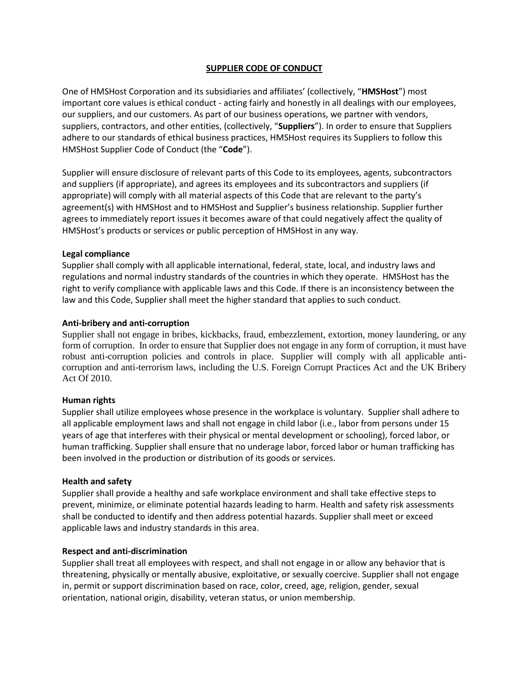# **SUPPLIER CODE OF CONDUCT**

One of HMSHost Corporation and its subsidiaries and affiliates' (collectively, "**HMSHost**") most important core values is ethical conduct - acting fairly and honestly in all dealings with our employees, our suppliers, and our customers. As part of our business operations, we partner with vendors, suppliers, contractors, and other entities, (collectively, "**Suppliers**"). In order to ensure that Suppliers adhere to our standards of ethical business practices, HMSHost requires its Suppliers to follow this HMSHost Supplier Code of Conduct (the "**Code**").

Supplier will ensure disclosure of relevant parts of this Code to its employees, agents, subcontractors and suppliers (if appropriate), and agrees its employees and its subcontractors and suppliers (if appropriate) will comply with all material aspects of this Code that are relevant to the party's agreement(s) with HMSHost and to HMSHost and Supplier's business relationship. Supplier further agrees to immediately report issues it becomes aware of that could negatively affect the quality of HMSHost's products or services or public perception of HMSHost in any way.

# **Legal compliance**

Supplier shall comply with all applicable international, federal, state, local, and industry laws and regulations and normal industry standards of the countries in which they operate. HMSHost has the right to verify compliance with applicable laws and this Code. If there is an inconsistency between the law and this Code, Supplier shall meet the higher standard that applies to such conduct.

# **Anti-bribery and anti-corruption**

Supplier shall not engage in bribes, kickbacks, fraud, embezzlement, extortion, money laundering, or any form of corruption. In order to ensure that Supplier does not engage in any form of corruption, it must have robust anti-corruption policies and controls in place. Supplier will comply with all applicable anticorruption and anti-terrorism laws, including the U.S. Foreign Corrupt Practices Act and the UK Bribery Act Of 2010.

### **Human rights**

Supplier shall utilize employees whose presence in the workplace is voluntary. Supplier shall adhere to all applicable employment laws and shall not engage in child labor (i.e., labor from persons under 15 years of age that interferes with their physical or mental development or schooling), forced labor, or human trafficking. Supplier shall ensure that no underage labor, forced labor or human trafficking has been involved in the production or distribution of its goods or services.

### **Health and safety**

Supplier shall provide a healthy and safe workplace environment and shall take effective steps to prevent, minimize, or eliminate potential hazards leading to harm. Health and safety risk assessments shall be conducted to identify and then address potential hazards. Supplier shall meet or exceed applicable laws and industry standards in this area.

### **Respect and anti-discrimination**

Supplier shall treat all employees with respect, and shall not engage in or allow any behavior that is threatening, physically or mentally abusive, exploitative, or sexually coercive. Supplier shall not engage in, permit or support discrimination based on race, color, creed, age, religion, gender, sexual orientation, national origin, disability, veteran status, or union membership.